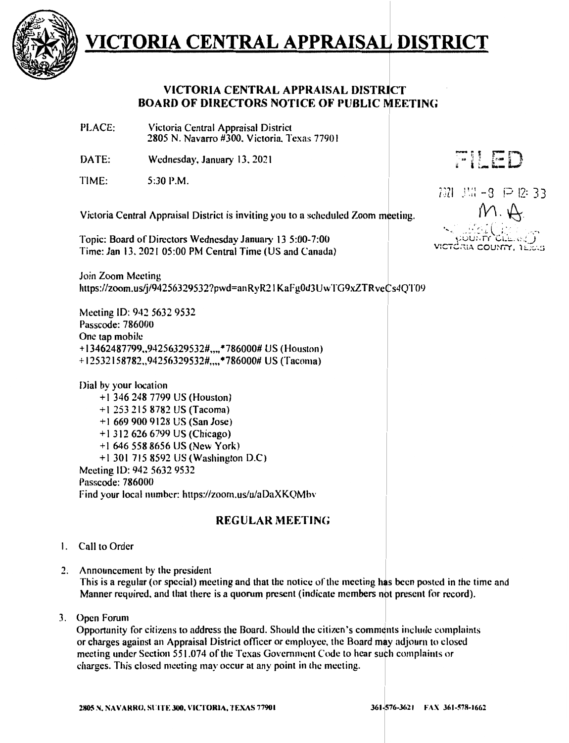

### VICTORIA CENTRAL APPRAISAL DISTRICT BOARD OF DIRECTORS NOTICE OF PUBLIC MEETING

PLACE: Victoria Central Appraisal District 2805 N. Navarro #300. Victoria. Texas 77901

DATE: Wednesday.January 13.2021

TIME: 5:30 P.M. FILED

7371 J.H - 3 P 12: 33

Victoria Central Appraisal District is inviting you to a scheduled Zoom meeting.

Topic: Board of Directors Wednesday January 13 5:00-7:00 Time: Jan 13, 2021 05:00 PM Central Time (US and Canada)

Join Zoom Meeting https://zoom.us/j/94256329532?pwd=anRyR21KaFg0d3UwTG9xZTRveCs4QT09

Meeting ID: 942 5632 9532 Passcode: 786000 One tap mobile + I 3462487799 •• 94256329532#.,.. \*786000# US (Houston) + I 2532 I 58782.,94256329532#,,,, \*786000# US {Tacoma)

Dial by your location + I 346 248 7799 US (Houston) + t 253 215 8782 US (Tacoma) +I 669 900 9128 US (San Jose) + I 312 626 6 799 US {Chicago) +I 646 558 8656 US (New York) +1301715 8592 US(Washington D.C) Meeting ID: 942 5632 9532 Passcode: 786000 Find your local number: https://zoom.us/u/aDaXKQMhv

### **REGULAR MEETING**

- I. Call to Order
- 2. Announcement by the president

This is a regular (or special) meeting and that the notice of the meeting has been posted in the time and Manner required, and that there is a quorum present (indicate members not present for record).

3. Open Forum

Opportunity for citizens to address the Board. Should the citizen's comments include complaints or charges against an Appraisal District officer or employee, the Board may adjourn to closed meeting under Section 551.074 of the Texas Government Code to hear such complaints or charges. This closed meeting may occur at any point in the meeting.

 ${M \cdot \mathfrak{S}}$ aia county.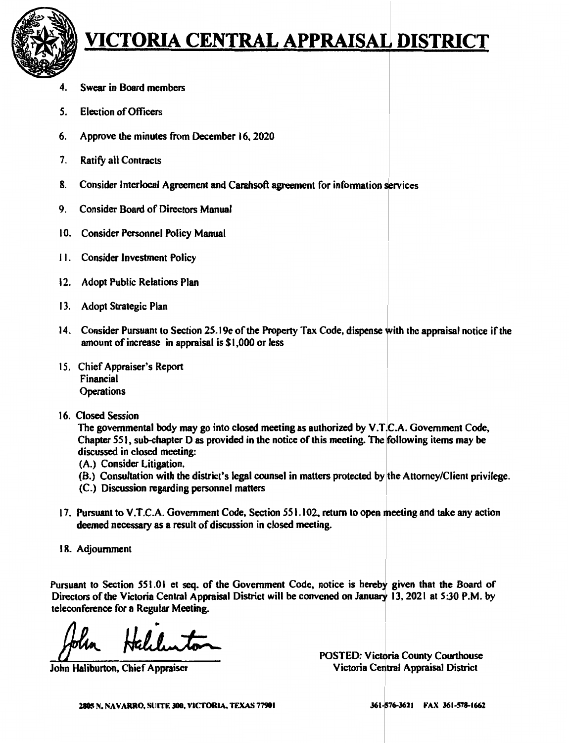

- 4. Swear in Board members
- 5. Election of Officers
- 6. Approve the minutes from December 16, 2020
- 7. Ratify all Contracts
- 8. Consider Interlocal Agreement and Carahsoft agreement for information services
- 9. Consider Board of Directors Manual
- 10. Consider Personnel Policy Manual
- 11. Consider Investment Policy
- 12. Adopt Public Relations Plan
- 13. Adopt Strategic Plan
- 14. Consider Pursuant to Section 25.19e of the Property Tax Code, dispense with the appraisal notice if the amount of increase in appraisal is \$1,000 or less
- 15. Chief Appraiser's Report Financial **Operations**
- 16. Closed Session

The governmental body may go into closed meeting as authorized by V.T.C.A. Government Code, Chapter 551, sub-chapter Das provided in the notice of this meeting. The following items may be discussed in closed meeting:

- (A.) Consider Litigation.
- (B.) Consultation with the district's legal counsel in matters protected by the Attorney/Client privilege.
- (C.) Discussion regarding personnel matters
- 17. Pursuant to V.T.C.A. Government Code, Section 551.102, return to open meeting and take any action deemed necessary as a result of discussion in closed meeting.
- 18. Adjournment

Pursuant to Section 551.01 et seq. of the Government Code, notice is hereby given that the Board of Directors of the Victoria Central Appraisal District will be convened on January 13, 2021 at 5:30 P.M. by teleconference for a Regular Meeting. on 551.01 et seq. of the Government Code,<br>Victoria Central Appraisal District will be conv<br>r a Regular Meeting.<br>Hallunton

*/JL.* 

John Haliburton, Chief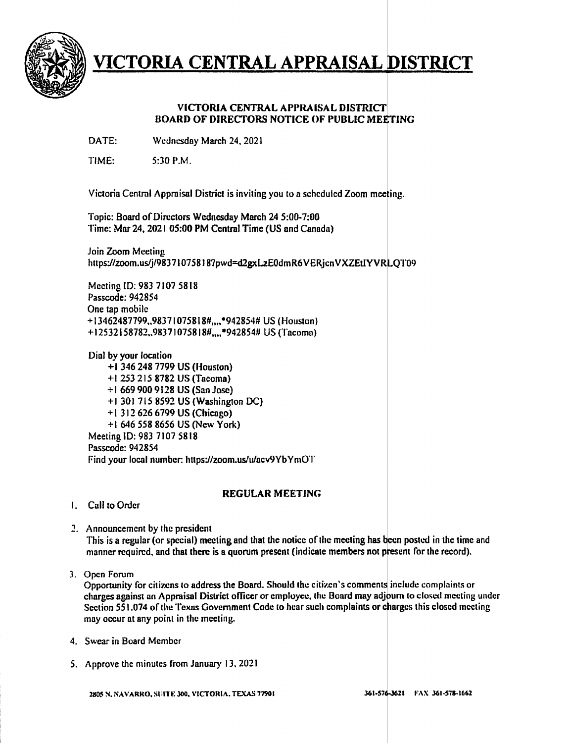

#### **VICTORIA CENTRAL APPRAISAL DISTRICT BOARD OF DIRECTORS NOTICE OF PUBLIC MEETING**

DATE: Wednesday March 24, 2021

 $TIME: 5:30 P.M.$ 

Victoria Central Appraisal District is inviting you to a scheduled Zoom meeting.

Topic: Board of Directors Wednesday March 24 5:00-7:00 Time: Mar 24, 2021 05:00 PM Central Time (US and Canadn)

Join Zoom Meeting https://zoom.us/j/983710758187pwd=d2gxLzE0dmR6VERjcnVXZEtlYVRLQT09

Meeting ID: 983 7107 5818 Passcode: 942854 One tap mobile + I 3462487799,.9837 I 075818#,,., \*942854# US (Houston) +12532158782.,98371075818#,,,,•942854# US (Tacoma)

Dial by your location +I 346 248 7799 US (Houston) + I 253 215 8782 US {Tacoma) + I 669 900 9128 US (San Jose} +I 3017158592 US (Washington DC) + 1 312 626 6 799 US (Chicago) +I 646 558 8656 US (New York) Meeting ID: 983 7107 5818 Passcode: 942854 Find your local number. https://zoom.us/u/acv9YbYmOT

#### **REGULAR MEETING**

- I. Call to Order
- 2. Announcement by the president This is a regular (or special) meeting and that the notice of the meeting has been posted in the time and manner required, and that there is a quorum present (indicate members not present for the record).
- 3. Open Forum

Opportunity for citizens to address the Board. Should the citizen's comments include complaints or charges against an Appraisal District officer or employee, the Board may adjourn to closed meeting under Section 551.074 of the Texas Government Code to hear such complaints or charges this closed meeting may occur at any point in the meeting.

- 4. Swear in Board Member
- 5. Approve the minutes from January 13, 2021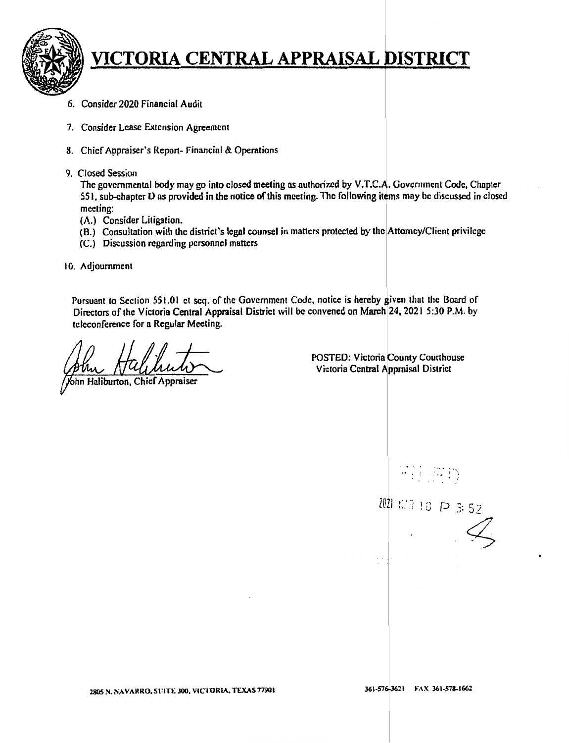

- 6. Consider 2020 Financial Audit
- 7. Consider Lease Extension Agreement
- 8. Chief Appraiser's Report-Financial & Operations
- 9. Closed Session

The governmental body may go into closed meeting as authorized by V.T.C.A. Government Code, Chapter 551, sub-chapter D as provided in the notice of this meeting. The following items may be discussed in closed meeting:

- (A.) Consider Litigation.
- (B.) Consultation with the district's legal counsel in matters protected by the Attorney/Client privilege
- (C.) Discussion regarding personnel matters
- 10. Adjournment

Pursuant to Section 551.01 et seq. of the Government Code, notice is hereby given that the Board of Directors of the Victoria Central Appraisal District will be convened on March 24, 2021 5:30 P.M. by teleconference for a Regular Meeting.

ohn Haliburton, Chief Appraiser

POSTED: Victoria County Courthouse Victoria Central Appraisal District

mili (WID) 2021 653 18 P 3:52

361-576-3621 FAX 361-578-1662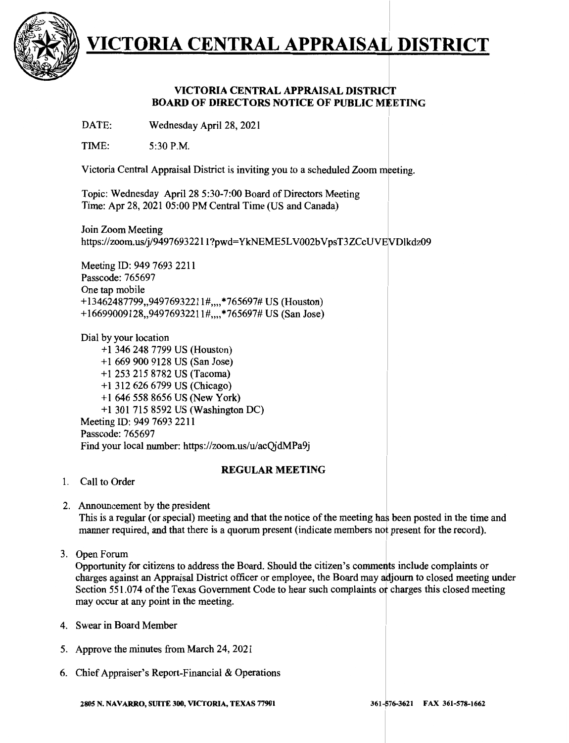

### **VICTORIA CENTRAL APPRAISAL DISTRICT BOARD OF DIRECTORS NOTICE OF PUBLIC MEETING**

DATE: Wednesday April 28, 2021

TIME: 5:30 **P.M.** 

Victoria Central Appraisal District is inviting you to a scheduled Zoom meeting.

Topic: Wednesday April 28 5:30-7:00 Board of Directors Meeting Time: Apr 28, 2021 05:00 PM Central Time (US and Canada)

Join Zoom Meeting https://zoom.us/j/94976932211?pwd=YkNEME5LV002bVpsT3ZCcUVEVDlkdz09

Meeting ID: 949 7693 2211 Passcode: 765697 One tap mobile +13462487799,,94976932211#,,,,\*765697# US (Houston) + 16699009128,,9497693221 l#,,,,\*765697# US (San Jose)

Dial by your location + 1 346 248 7799 US (Houston) +1 669 900 9128 US (San Jose) +l 253 215 8782 US (Tacoma) + 1 312 626 6799 US (Chicago) + 1 646 558 8656 US (New York) +1 3017158592 US (Washington DC) Meeting ID: 949 7693 2211 Passcode: 765697 Find your local number: https://zoom.us/u/acQjdMPa9j

#### **REGULAR MEETING**

- 1. Call to Order
- 2. Announcement by the president

This is a regular (or special) meeting and that the notice of the meeting has been posted in the time and manner required, and that there is a quorum present (indicate members not present for the record).

3. Open Forum

Opportunity for citizens to address the Board. Should the citizen's comments include complaints or charges against an Appraisal District officer or employee, the Board may adjourn to closed meeting under Section 551.074 of the Texas Government Code to hear such complaints or charges this closed meeting may occur at any point in the meeting.

- 4. Swear in Board Member
- 5. Approve the minutes from March 24, 2021
- 6. Chief Appraiser's Report-Financial & Operations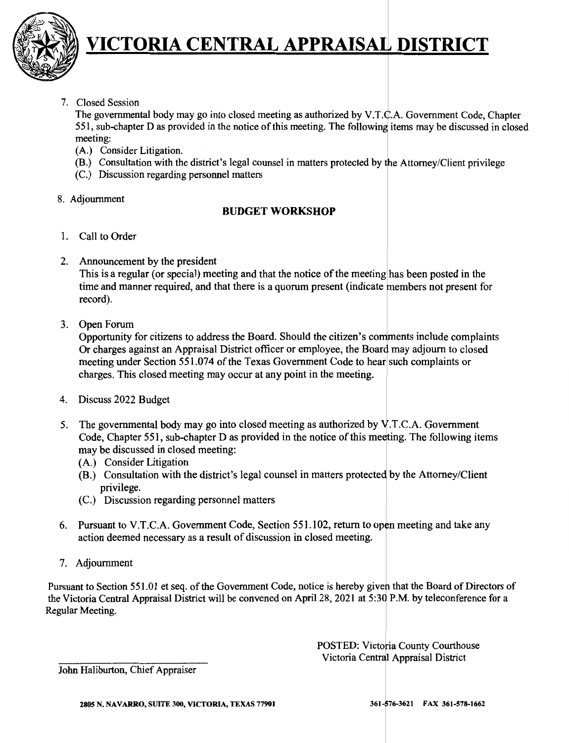

7. Closed Session

The governmental body may go into closed meeting as authorized by V.T. $\dot{C}$ .A. Government Code, Chapter 551, sub-chapter D as provided in the notice of this meeting. The following items may be discussed in closed meeting:

- (A.) Consider Litigation.
- (B.) Consultation with the district's legal counsel in matters protected by the Attorney/Client privilege
- (C.) Discussion regarding personnel matters
- 8. Adjournment

### **BUDGET WORKSHOP**

- 1. Call to Order
- 2. Announcement by the president

This is a regular (or special) meeting and that the notice of the meeting has been posted in the time and manner required, and that there is a quorum present (indicate members not present for record).

3. Open Forum

Opportunity for citizens to address the Board. Should the citizen's comments include complaints Or charges against an Appraisal District officer or employee, the Board may adjourn to closed meeting under Section 551.074 of the Texas Government Code to hear such complaints or charges. This closed meeting may occur at any point in the meeting.

- 4. Discuss 2022 Budget
- 5. The governmental body may go into closed meeting as authorized by  $V.T.C.A.$  Government Code, Chapter 551, sub-chapter D as provided in the notice of this meeting. The following items may be discussed in closed meeting:
	- (A.) Consider Litigation
	- (B.) Consultation with the district's legal counsel in matters protected by the Attorney/Client privilege.
	- (C.) Discussion regarding personnel matters
- 6. Pursuant to V.T.C.A. Government Code, Section 551.102, return to open meeting and take any action deemed necessary as a result of discussion in closed meeting.
- 7. Adjournment

Pursuant to Section 551.01 et seq. of the Government Code, notice is hereby given that the Board of Directors of the Victoria Central Appraisal District will be convened on April 28, 2021 at 5:30 P.M. by teleconference for a Regular Meeting.

> POSTED: Victoria County Courthouse Victoria Central Appraisal District

John Haliburton, Chief Appraiser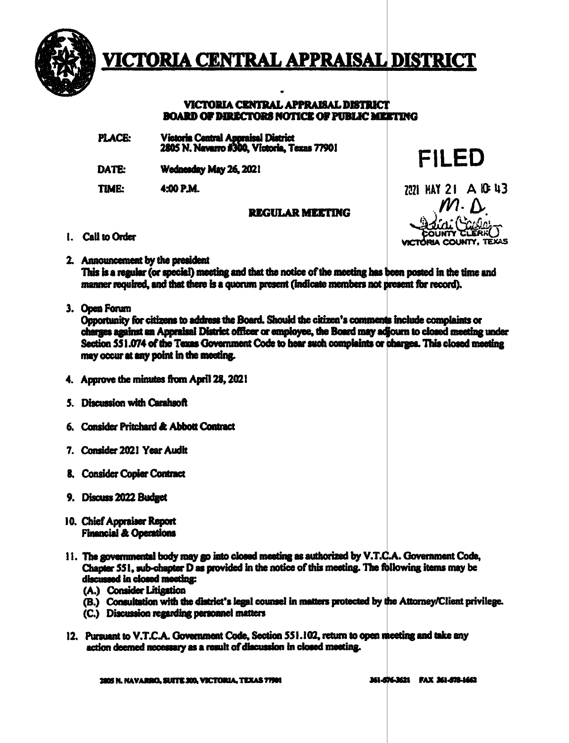

#### **TRAL APPRAISAL DISTRICT TCTORIA CENT**

#### VICTORIA CENTRAL APPRAISAL DISTRICT **BOARD OF DIRECTORS NOTICE OF PUBLIC MEETING**

- **Victoria Central Appraisal District PLACE:** 2805 N. Navarro #300, Victoria, Texas 77901
- DATE: Wednesday May 26, 2021
- TIME: 4:00 P.M.

### **REGULAR MEETING**

7071 HAY 21 A IC 43

FILED

- 1. Call to Order
- 2. Announcement by the president

This is a regular (or special) meeting and that the notice of the meeting has been posted in the time and manner required, and that there is a quorum present (indicate members not present for record).

3. Open Forum

Opportunity for citizens to address the Board. Should the citizen's comments include complaints or charges against an Appraisal District officer or employee, the Board may adjourn to closed meeting under Section 551.074 of the Texas Government Code to hear such complaints or charges. This closed meeting may occur at any point in the meeting.

- 4. Approve the minutes from April 28, 2021
- 5. Discussion with Carahsoft
- 6. Consider Pritchard & Abbott Contract
- 7. Consider 2021 Year Audit
- 8. Consider Copier Contract
- 9. Discuss 2022 Budget
- 10. Chief Appraiser Report **Financial & Operations**
- 11. The governmental body may go into closed meeting as authorized by V.T.C.A. Government Code, Chapter 551, sub-chapter D as provided in the notice of this meeting. The following items may be discussed in closed meeting:
	- (A.) Consider Litigation
	- (B.) Consultation with the district's legal counsel in matters protected by the Attorney/Client privilege.
	- (C.) Discussion regarding personnel matters
- 12. Pursuant to V.T.C.A. Government Code, Section 551.102, return to open meeting and take any action deemed necessary as a result of discussion in closed meeting.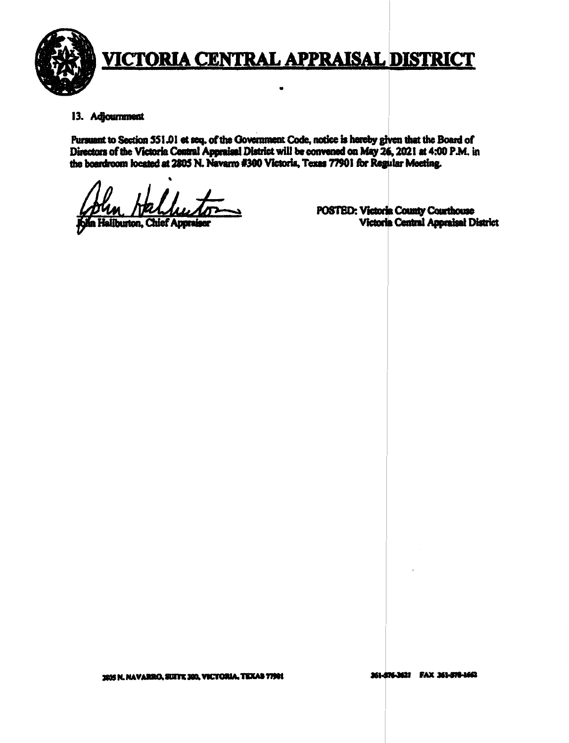

#### 13. Adjournment

Pursuant to Section 551.01 et seq. of the Government Code, notice is hereby given that the Board of Directors of the Victoria Central Appraisal District will be convened on May 26, 2021 at 4:00 P.M. in the boardroom located at 2805 N. Navarro #300 Victoria, Texas 77901 for Regular Meeting.

liburton, Chief Appra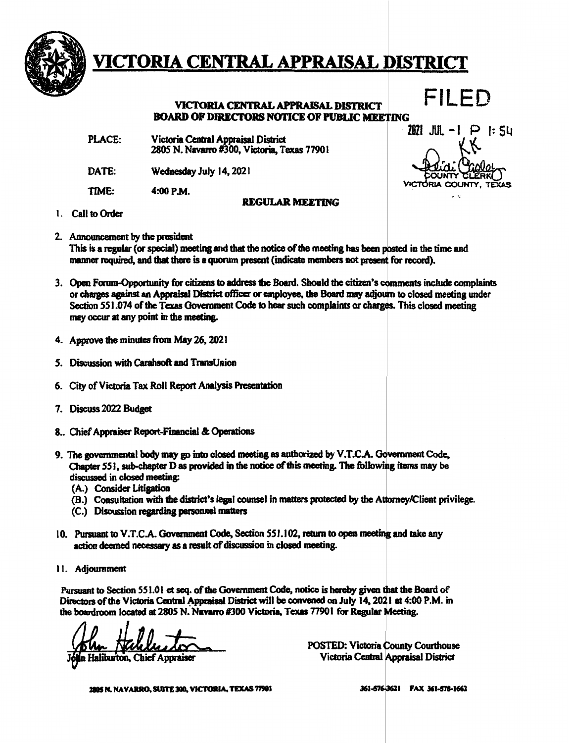

### **VICTORIA CENTRAL APPRAISAL DISTRICT BOARD OF DIRECTORS NOTICE OF PUBLIC MEETING**

PLACE: Victoria **Cencral Appraisal** District 2805 N. Navarro #300, Victoria, Texas 7790 I

DATE: Wednesday July 14, 2021

TIME: 4:00 P.M.

#### **REGULAR MEETING**

FILED  $2021$  JUL  $-1$   $\Box$  P  $\vdots$  SL RK<br>Driai Caelet

ACTORIA COUNTY.

- 1. Call to Order
- 2. Announcement by the president This is a regular (or special) meeting and that the notice of the meeting has been posted in the time and manner required, and that there is a quorum present (indicate members not present for record).
- 3. Open Forum-Opportunity for citizens to **address the** Board. Should the citizen's ents include complaints or charges against an Appraisal District officer or employee, the Board may adjourn to closed meeting under Section 551.074 of the Texas Government Code to hear such complaints or charges. This closed meeting may occur at any point in the meeting.
- 4. Approve the minutes from May 26, 2021
- *S.* Discussion with Carahsoft and TransUnion
- 6. City of Victoria Tax Roll Report Analysis Presentation
- 7. Discuss 2022 Budget
- 8.. Chief Appraiser Report-Financial & **Operations**
- 9. The governmental body may go into closed meeting as authorized by V.T.C.A. Government Code. Chapter 551, sub-chapter D as provided in the notice of this meeting. The following items may be discussed in closed meeting:
	- (A.) Consider Litigation
	- (B.) Consultation with the district's legal counsel in matters protected by the Attorney/Client privilege.
	- (C.) Discussion **regarding personnel** matters
- 10. Pursuant to V.T.C.A. Government Code, Section 551.102, return to open meeting and take any action deemed necessary as a result of discussion in closed meeting.
- 11. Adjournment

Pursuant to Section S51.0 I et seq. of the Government Code, notice is hereby given the Board of Directors of the Victoria Central Appraisal District will be convened on July 14, 2021 at 4:00 P.M. in the boardroom located at 2805 N. Navarro #300 Victoria, Texas 77901 for Regular Meeting.

blum Halluston

POSTED: Victoria County Courthouse Victoria Central Appraisal District

2805 N. NAVARRO, SUITE 300, VICTORIA, TEXAS 77901

361-576-3621 FAX 361-578-1662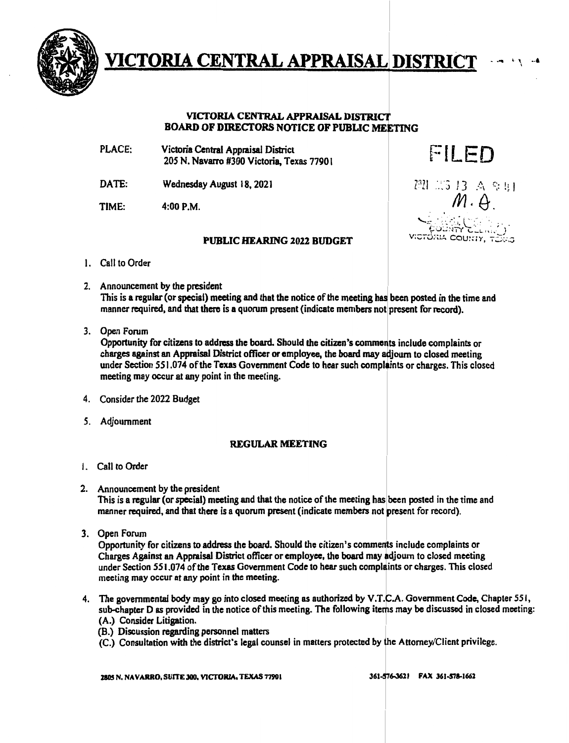

#### **VICTORIA CENTRAL APPRAISAL DISTRICT BOARD OF DIRECTORS NOTICE OF PUBLIC MEETING**

- PLACE: Victoria Central Appraisal District 205 N. Navarro #300 Victoria, Texas 7790 I
- DATE: Wednesday August 18, 2021
- TIME: 4:00P.M.

#### **PUBLIC HEARING** 2022 **BUDGET**

221 23 13 A 9 R1

UA COUSSY

FILED

I

- 1. Call to Order
- 2. Announcement by the president This is a regular (or special) meeting and that the notice of the meeting has been posted in the time and manner required, and that there is a quorum present (indicate members not present for record).
- 3. Open Forum

Opportunity for citizens to address the board. Should the citizen's comments include complaints or charges against an Appraisal District officer or employee, the board may adjourn to closed meeting under Section 551.074 of the Texas Government Code to hear such complaints or charges. This closed meeting may occur at any point in the meeting.

- 4. Consider the 2022 Budget
- *5.* Adjournment

#### **REGULAR MEETING**

- 1. Call to Order
- 2. Announcement by the president This is a regular (or special) meeting and that the notice of the meeting has been posted in the time and manner required, and that there is a quorum present (indicate members not present for record).
- 3. Open Forum

Opportunity for citizens to address the board. Should the citizen's comments include complaints or Charges Against an Appraisal District officer or employee, the board may djoum to closed meeting under Section 551.074 of the Texas Government Code to hear such complaints or charges. This closed meeting may occur at any point in the meeting.

- 4. The governmental body may go into closed meeting as authorized by V.T.C.A. Government Code, Chapter 551, sub-chapter D as provided in the notice of this meeting. The following items may be discussed in closed meeting:
	- (A.) Consider Litigation.
	- (B.) Discussion regarding personnel matters
	- (C.) Consultation with the district's legal counsel in matters protected by the Attorney/Client privilege.

2805 N, **NAV ARKO,** SUITE **JOO, YlCTORJA, TEXAS** '7"1901

361-576-3621 FAX 361-578-1662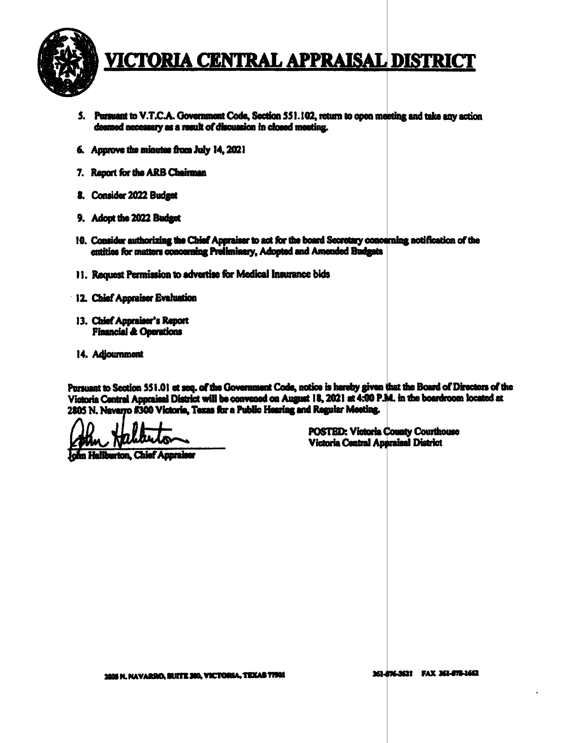

- 5. Pursuant to V.T.C.A. Government Code, Section 551.102, return to open meeting and take any action deemed necessary as a result of discussion in closed meeting.
- 6. Approve the minutes from July 14, 2021
- 7. Report for the ARB Chairman
- 8. Consider 2022 Budget
- 9. Adopt the 2022 Budget
- 10. Consider authorizing the Chief Appraiser to act for the board Secretary concerning notification of the entities for matters concerning Preliminary, Adopted and Amended Budgets
- 11. Request Permission to advertise for Medical Insurance bids
- 12. Chief Appraiser Evaluation
- 13. Chief Appraiser's Report **Financial & Operations**
- 14. Adjournment

Pursuant to Section 551.01 et seq. of the Government Code, notice is hereby given that the Board of Directors of the Victoria Central Appraisal District will be convened on August 18, 2021 at 4:00 P.M. in the boardroom located at 2805 N. Navarro #300 Victoria, Texas for a Public Hearing and Regular Meeting.

**A Hallburton, Chief Appraiser**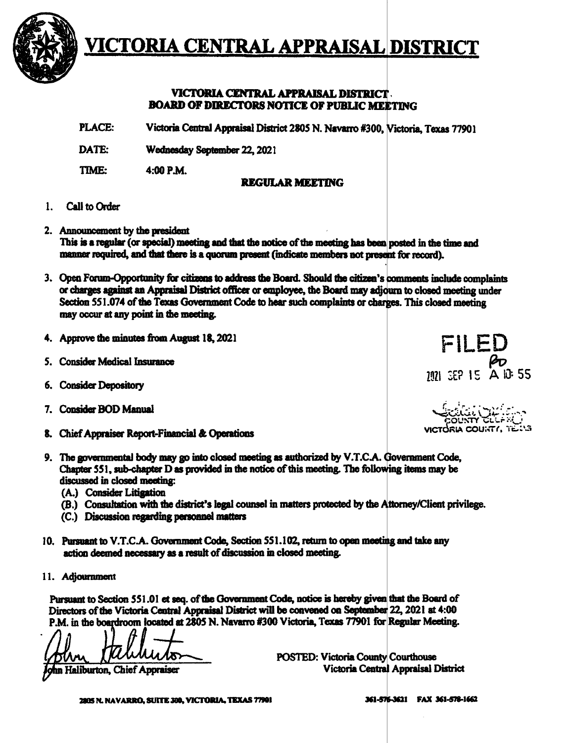

### VICTORIA CENTRAL APPRAISAL DISTRICT. **BOARD OF DIRECTORS NOTICE OF PUBLIC MEETING**

PLACE: Victoria Central Appraisal District 2805 N. Navarro #300, Victoria, Texas 77901

DATE: Wednesday September 22, 2021

TIME: 4:00 P.M.

### **REGULAR MEETING**

- **Call to Order**  $\mathbf{1}$ .
- 2. Announcement by the president This is a regular (or special) meeting and that the notice of the meeting has been posted in the time and manner required, and that there is a quorum present (indicate members not present for record).
- 3. Open Forum-Opportunity for citizens to address the Board. Should the citizen's comments include complaints or charges against an Appraisal District officer or employee, the Board may adjourn to closed meeting under Section 551.074 of the Texas Government Code to hear such complaints or charges. This closed meeting may occur at any point in the meeting.
- 4. Approve the minutes from August 18, 2021
- 5. Consider Medical Insurance
- 6. Consider Depository
- 7. Consider BOD Manual
- 8. Chief Appraiser Report-Financial & Operations
- 9. The governmental body may go into closed meeting as authorized by V.T.C.A. Government Code, Chapter 551, sub-chapter D as provided in the notice of this meeting. The following items may be discussed in closed meeting:
	- (A.) Consider Litigation
	- (B.) Consultation with the district's legal counsel in matters protected by the Attorney/Client privilege.
	- (C.) Discussion regarding personnel matters
- 10. Pursuant to V.T.C.A. Government Code, Section 551.102, return to open meeting and take any action deemed necessary as a result of discussion in closed meeting.
- 11. Adjournment

Pursuant to Section 551.01 et seq. of the Government Code, notice is hereby given that the Board of Directors of the Victoria Central Appraisal District will be convened on September 22, 2021 at 4:00 P.M. in the boardroom located at 2805 N. Navarro #300 Victoria, Texas 77901 for Regular Meeting.

nn Haliburton, Chief Appraiser

FILED  $\frac{100}{101}$  SEP 15 A 10 55

sia coustri tella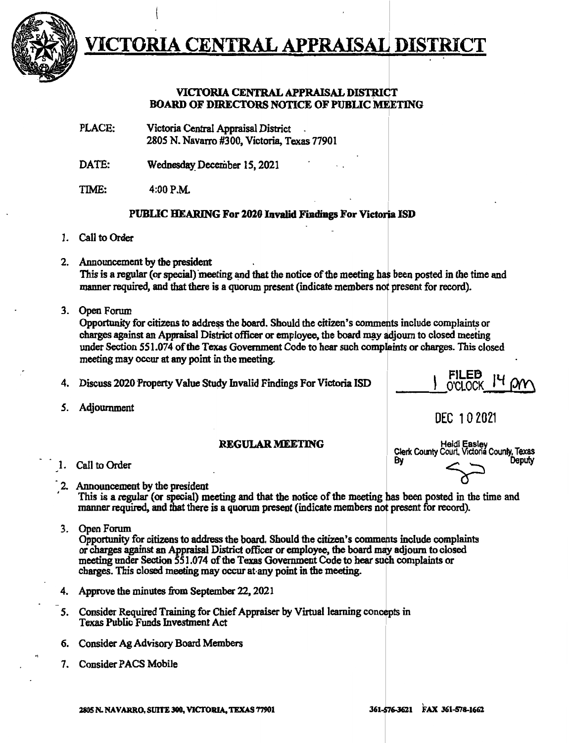

# VICTORIA CENTRAL APPRAIS

### **VICTORIA CENTRAL APPRAISAL DISTRICT BOARD OF DIRECTORS NOTICE OF PUBLIC MEETING**

- PLACE: Victoria Central Appraisal District . 2805 N. Navarro #300, Victoria, Texas 77901
- DATE: Wednesday December 15, 2021
- TIME: 4:00 P.M.

### **PUBLIC HEARING For 2020 Invalid Findings For Victoria ISD**

- 1. Call to Order
- 2. Announcement by the president This is a regular (or special) meeting and that the notice of the meeting has been posted in the time and manner required, and that there is a quorum present (indicate members not present for record).
- 3. Open Forum

Opportunity for citizens to address the board. Should the citizen's comments include complaints or charges against an Appraisal District officer or employee, the board may adjourn to closed meeting under Section 551.074 of the Texas Government Code to hear such complaints or charges. This closed meeting may occur at any point in the meeting.

- 4. Discuss 2020 Property Value Study Invalid Findings For Victoria ISD
- *S.* Adjournment

# REGULAR MEETING Heidi Easley<br>1. Call to Order Deputy

- 
- 2. Announcement by the president This is a regular (or special) meeting and that the notice of the meeting has been posted in the time and manner required, and that there is a quorum present (indicate members not present for record).
- 3. Open Forum Opportunity for citizens to address the board. Should the citizen's comme ts include complaints or charges against an Appraisal District officer or employee, the board may adjourn to closed meeting under Section 551.074 of the Texas Government Code to hear such complaints or charges. This closed meeting may occur at·any point in the meeting.
- 4. Approve the minutes from September 22, 2021
- 5. Consider Required Training for Chief Appraiser by Virtual learning con Texas Public Funds Investment Act
- 6. Consider Ag Advisory Board Members
- 7. Consider PACS Mobile

.,

 $I<sup>4</sup>$  pr O'CI OCK

DEC 102021